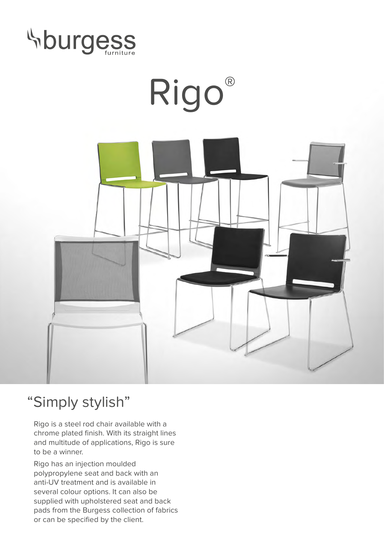



## "Simply stylish"

Rigo is a steel rod chair available with a chrome plated finish. With its straight lines and multitude of applications, Rigo is sure to be a winner.

Rigo has an injection moulded polypropylene seat and back with an anti-UV treatment and is available in several colour options. It can also be supplied with upholstered seat and back pads from the Burgess collection of fabrics or can be specified by the client.